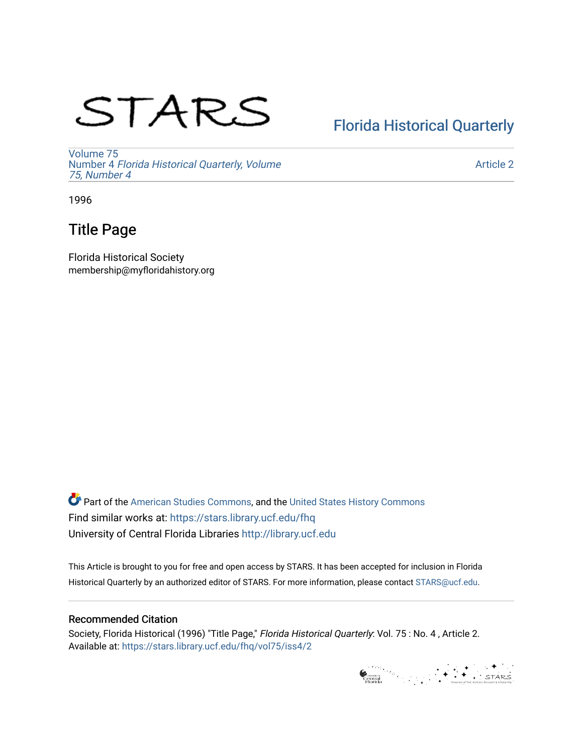# STARS

## [Florida Historical Quarterly](https://stars.library.ucf.edu/fhq)

[Volume 75](https://stars.library.ucf.edu/fhq/vol75) Number 4 [Florida Historical Quarterly, Volume](https://stars.library.ucf.edu/fhq/vol75/iss4)  [75, Number 4](https://stars.library.ucf.edu/fhq/vol75/iss4)

[Article 2](https://stars.library.ucf.edu/fhq/vol75/iss4/2) 

1996

### Title Page

Florida Historical Society membership@myfloridahistory.org

**C** Part of the [American Studies Commons](http://network.bepress.com/hgg/discipline/439?utm_source=stars.library.ucf.edu%2Ffhq%2Fvol75%2Fiss4%2F2&utm_medium=PDF&utm_campaign=PDFCoverPages), and the United States History Commons Find similar works at: <https://stars.library.ucf.edu/fhq> University of Central Florida Libraries [http://library.ucf.edu](http://library.ucf.edu/) 

This Article is brought to you for free and open access by STARS. It has been accepted for inclusion in Florida Historical Quarterly by an authorized editor of STARS. For more information, please contact [STARS@ucf.edu.](mailto:STARS@ucf.edu)

#### Recommended Citation

Society, Florida Historical (1996) "Title Page," Florida Historical Quarterly: Vol. 75 : No. 4 , Article 2. Available at: [https://stars.library.ucf.edu/fhq/vol75/iss4/2](https://stars.library.ucf.edu/fhq/vol75/iss4/2?utm_source=stars.library.ucf.edu%2Ffhq%2Fvol75%2Fiss4%2F2&utm_medium=PDF&utm_campaign=PDFCoverPages) 

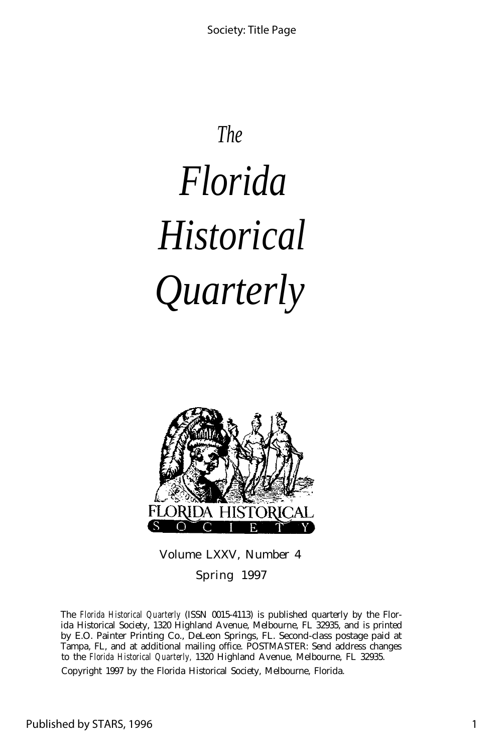# *The Florida Historical Quarterly*



Volume LXXV, Number 4

Spring 1997

The *Florida Historical Quarterly* (ISSN 0015-4113) is published quarterly by the Florida Historical Society, 1320 Highland Avenue, Melbourne, FL 32935, and is printed by E.O. Painter Printing Co., DeLeon Springs, FL. Second-class postage paid at Tampa, FL, and at additional mailing office. POSTMASTER: Send address changes to the *Florida Historical Quarterly,* 1320 Highland Avenue, Melbourne, FL 32935.

Copyright 1997 by the Florida Historical Society, Melbourne, Florida.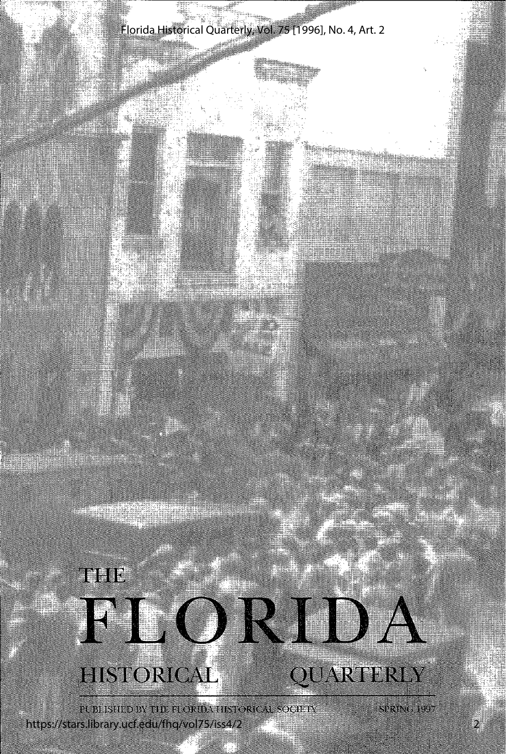

# HISTORICAL

PUBLISHED BY THE FLORIDA HISTORICAL SOCIETY https://stars.library.ucf.edu/fhq/vol75/iss4/2

SPRING 1997

2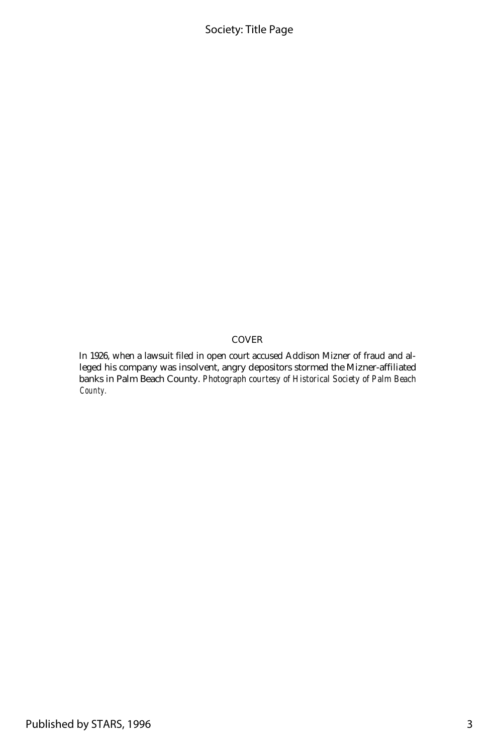#### Society: Title Page

#### COVER

In 1926, when a lawsuit filed in open court accused Addison Mizner of fraud and alleged his company was insolvent, angry depositors stormed the Mizner-affiliated banks in Palm Beach County. *Photograph courtesy of Historical Society of Palm Beach County.*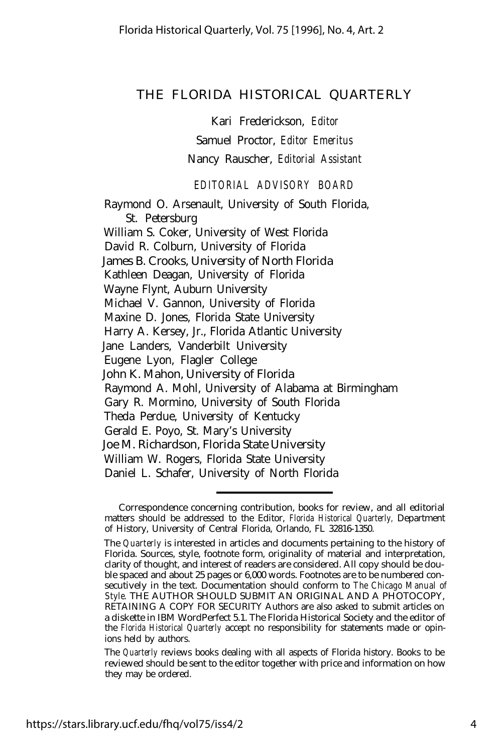#### THE FLORIDA HISTORICAL QUARTERLY

Kari Frederickson, *Editor*

Samuel Proctor, *Editor Emeritus*

Nancy Rauscher, *Editorial Assistant*

*EDITORIAL ADVISORY BOARD*

Raymond O. Arsenault, University of South Florida, St. Petersburg William S. Coker, University of West Florida David R. Colburn, University of Florida James B. Crooks, University of North Florida Kathleen Deagan, University of Florida Wayne Flynt, Auburn University Michael V. Gannon, University of Florida Maxine D. Jones, Florida State University Harry A. Kersey, Jr., Florida Atlantic University Jane Landers, Vanderbilt University Eugene Lyon, Flagler College John K. Mahon, University of Florida Raymond A. Mohl, University of Alabama at Birmingham Gary R. Mormino, University of South Florida Theda Perdue, University of Kentucky Gerald E. Poyo, St. Mary's University Joe M. Richardson, Florida State University William W. Rogers, Florida State University Daniel L. Schafer, University of North Florida

Correspondence concerning contribution, books for review, and all editorial matters should be addressed to the Editor, *Florida Historical Quarterly,* Department of History, University of Central Florida, Orlando, FL 32816-1350.

The *Quarterly* is interested in articles and documents pertaining to the history of Florida. Sources, style, footnote form, originality of material and interpretation, clarity of thought, and interest of readers are considered. All copy should be double spaced and about 25 pages or 6,000 words. Footnotes are to be numbered consecutively in the text. Documentation should conform to *The Chicago Manual of Style.* THE AUTHOR SHOULD SUBMIT AN ORIGINAL AND A PHOTOCOPY, RETAINING A COPY FOR SECURITY Authors are also asked to submit articles on a diskette in IBM WordPerfect 5.1. The Florida Historical Society and the editor of the *Florida Historical Quarterly* accept no responsibility for statements made or opinions held by authors.

The *Quarterly* reviews books dealing with all aspects of Florida history. Books to be reviewed should be sent to the editor together with price and information on how they may be ordered.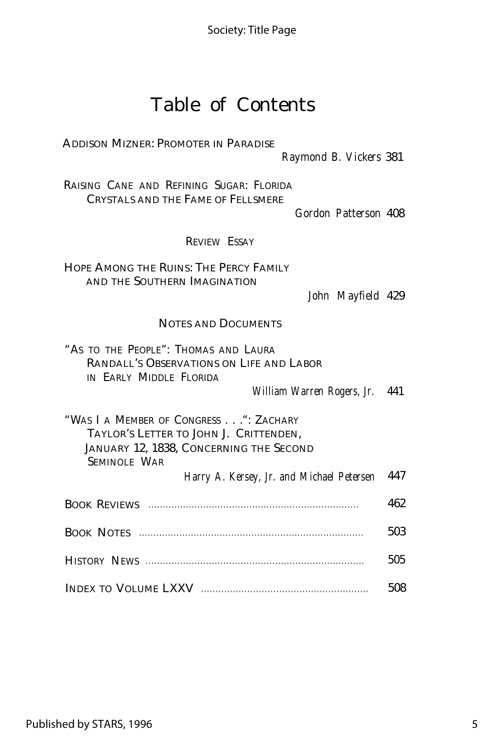### Table of Contents

ADDISON MIZNER: PROMOTER IN PARADISE

*Raymond B. Vickers* 381

RAISING CANE AND REFINING SUGAR: FLORIDA CRYSTALS AND THE FAME OF FELLSMERE

*Gordon Patterson* 408

REVIEW ESSAY

HOPE AMONG THE RUINS: THE PERCY FAMILY AND THE SOUTHERN IMAGINATION

*John Mayfield* 429

#### NOTES AND DOCUMENTS

|  | "AS TO THE PEOPLE": THOMAS AND LAURA |  |                                          |
|--|--------------------------------------|--|------------------------------------------|
|  |                                      |  | RANDALL'S OBSERVATIONS ON LIFE AND LABOR |
|  | IN EARLY MIDDLE FLORIDA              |  |                                          |

*William Warren Rogers, Jr.* 441

"WAS I A MEMBER OF CONGRESS . . .": ZACHARY TAYLOR'S LETTER TO JOHN J. CRITTENDEN, JANUARY 12, 1838, CONCERNING THE SECOND SEMINOLE WAR

*Harry A. Kersey, Jr. and Michael Petersen* 447

| 462 |
|-----|
| 503 |
| 505 |
| 508 |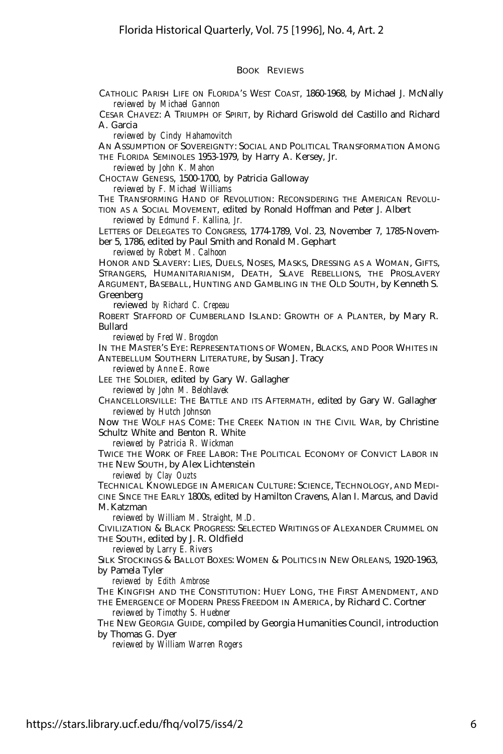#### BOOK REVIEWS

CATHOLIC PARISH LIFE ON FLORIDA'S WEST COAST, 1860-1968, by Michael J. McNally *reviewed by Michael Gannon*

CESAR CHAVEZ: A TRIUMPH OF SPIRIT, by Richard Griswold del Castillo and Richard A. Garcia

*reviewed by Cindy Hahamovitch*

AN ASSUMPTION OF SOVEREIGNTY: SOCIAL AND POLITICAL TRANSFORMATION AMONG THE FLORIDA SEMINOLES 1953-1979, by Harry A. Kersey, Jr.

*reviewed by John K. Mahon*

CHOCTAW GENESIS, 1500-1700, by Patricia Galloway

*reviewed by F. Michael Williams*

THE TRANSFORMING HAND OF REVOLUTION: RECONSIDERING THE AMERICAN REVOLU-TION AS A SOCIAL MOVEMENT, edited by Ronald Hoffman and Peter J. Albert

*reviewed by Edmund F. Kallina, Jr.*

LETTERS OF DELEGATES TO CONGRESS, 1774-1789, Vol. 23, November 7, 1785-November 5, 1786, edited by Paul Smith and Ronald M. Gephart

*reviewed by Robert M. Calhoon*

HONOR AND SLAVERY: LIES, DUELS, NOSES, MASKS, DRESSING AS A WOMAN, GIFTS, STRANGERS, HUMANITARIANISM, DEATH, SLAVE REBELLIONS, THE PROSLAVERY ARGUMENT, BASEBALL, HUNTING AND GAMBLING IN THE OLD SOUTH, by Kenneth S. Greenberg

reviewed *by Richard C. Crepeau*

ROBERT STAFFORD OF CUMBERLAND ISLAND: GROWTH OF A PLANTER, by Mary R. Bullard

*reviewed by Fred W. Brogdon*

IN THE MASTER'S EYE: REPRESENTATIONS OF WOMEN, BLACKS, AND POOR WHITES IN ANTEBELLUM SOUTHERN LITERATURE, by Susan J. Tracy

*reviewed by Anne E. Rowe*

LEE THE SOLDIER, edited by Gary W. Gallagher *reviewed by John M. Belohlavek*

CHANCELLORSVILLE: THE BATTLE AND ITS AFTERMATH, edited by Gary W. Gallagher *reviewed by Hutch Johnson*

Now THE WOLF HAS COME: THE CREEK NATION IN THE CIVIL WAR, by Christine Schultz White and Benton R. White

*reviewed by Patricia R. Wickman*

TWICE THE WORK OF FREE LABOR: THE POLITICAL ECONOMY OF CONVICT LABOR IN THE NEW SOUTH, by Alex Lichtenstein

*reviewed by Clay Ouzts*

TECHNICAL KNOWLEDGE IN AMERICAN CULTURE: SCIENCE, TECHNOLOGY, AND MEDI-CINE SINCE THE EARLY 1800s, edited by Hamilton Cravens, Alan I. Marcus, and David M. Katzman

*reviewed by William M. Straight, M.D.*

CIVILIZATION & BLACK PROGRESS: SELECTED WRITINGS OF ALEXANDER CRUMMEL ON THE SOUTH, edited by J. R. Oldfield

*reviewed by Larry E. Rivers*

SILK STOCKINGS & BALLOT BOXES: WOMEN & POLITICS IN NEW ORLEANS, 1920-1963, by Pamela Tyler

*reviewed by Edith Ambrose*

THE KINGFISH AND THE CONSTITUTION: HUEY LONG, THE FIRST AMENDMENT, AND THE EMERGENCE OF MODERN PRESS FREEDOM IN AMERICA, by Richard C. Cortner *reviewed by Timothy S. Huebner*

THE NEW GEORGIA GUIDE, compiled by Georgia Humanities Council, introduction by Thomas G. Dyer

*reviewed by William Warren Rogers*